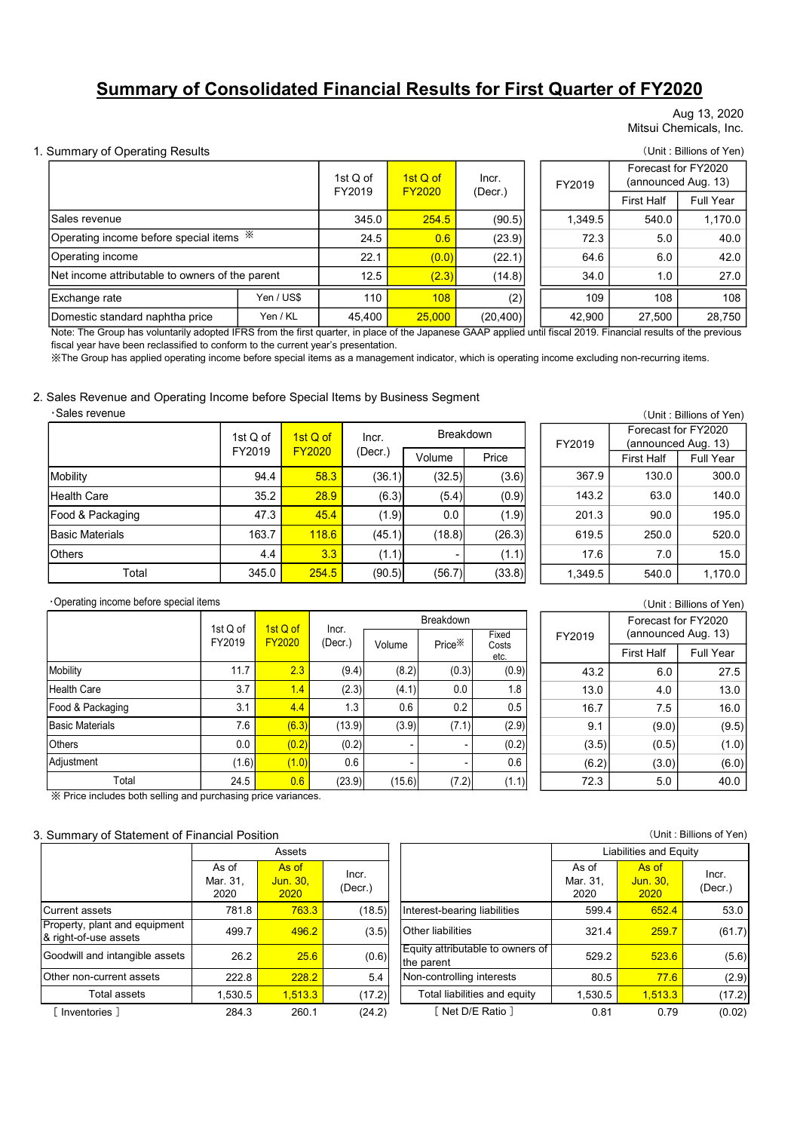# Summary of Consolidated Financial Results for First Quarter of FY2020

#### Aug 13, 2020 Mitsui Chemicals, Inc.

#### 1. Summary of Operating Results (Unit : Billions of Yen)

|                                                 |                    |                    |               |           |                    |               |         |                                            | Aug 13, 2020            |
|-------------------------------------------------|--------------------|--------------------|---------------|-----------|--------------------|---------------|---------|--------------------------------------------|-------------------------|
|                                                 |                    |                    |               |           |                    |               |         |                                            | Mitsui Chemicals, Inc.  |
| <b>Summary of Operating Results</b>             |                    |                    |               |           |                    |               |         |                                            | (Unit: Billions of Yen) |
|                                                 |                    |                    |               | $1stQ$ of | 1st Q of           | Incr.         | FY2019  | Forecast for FY2020<br>(announced Aug. 13) |                         |
|                                                 |                    |                    |               | FY2019    | <b>FY2020</b>      | (Decr.)       |         | <b>First Half</b>                          | Full Year               |
| Sales revenue                                   |                    |                    |               | 345.0     | 254.5              | (90.5)        | 1,349.5 | 540.0                                      | 1,170.0                 |
| Operating income before special items $*$       |                    |                    |               | 24.5      | 0.6                | (23.9)        | 72.3    | 5.0                                        | 40.0                    |
| Operating income                                |                    |                    |               | 22.1      | (0.0)              | (22.1)        | 64.6    | 6.0                                        | 42.0                    |
| Net income attributable to owners of the parent |                    |                    |               | 12.5      | (2.3)              | (14.8)        | 34.0    | 1.0                                        | 27.0                    |
| Exchange rate                                   |                    | Yen / US\$         |               | 110       | 108                | (2)           | 109     | 108                                        | 108                     |
| Domestic standard naphtha price                 |                    | Yen / KL           |               | 45,400    | 25,000             | (20, 400)     | 42,900  | 27,500                                     | 28,750                  |
| ·Sales revenue                                  | 1st Q of           |                    | 1st Q of      | Incr.     |                    | Breakdown     | FY2019  | Forecast for FY2020                        | (Unit: Billions of Yen) |
|                                                 | FY2019             |                    | <b>FY2020</b> | (Decr.)   | Volume             | Price         |         | (announced Aug. 13)<br><b>First Half</b>   | Full Year               |
| Mobility                                        |                    | 94.4               | 58.3          | (36.1)    | (32.5)             | (3.6)         | 367.9   | 130.0                                      | 300.0                   |
| <b>Health Care</b>                              |                    | 35.2               | 28.9          | (6.3)     | (5.4)              | (0.9)         | 143.2   | 63.0                                       | 140.0                   |
| Food & Packaging                                |                    | 47.3               | 45.4          | (1.9)     | 0.0                | (1.9)         | 201.3   | 90.0                                       | 195.0                   |
| <b>Basic Materials</b>                          |                    | 163.7              | 118.6         | (45.1)    | (18.8)             | (26.3)        | 619.5   | 250.0                                      | 520.0                   |
| <b>Others</b>                                   |                    | 4.4                | 3.3           | (1.1)     |                    | (1.1)         | 17.6    | 7.0                                        | 15.0                    |
| Total                                           |                    | 345.0              | 254.5         | (90.5)    | (56.7)             | (33.8)        | 1,349.5 | 540.0                                      | 1,170.0                 |
| Operating income before special items           |                    |                    |               |           |                    |               |         |                                            |                         |
|                                                 |                    |                    |               |           | Breakdown          |               |         | Forecast for FY2020                        | (Unit: Billions of Yen) |
|                                                 | 1st Q of<br>FY2019 | 1st Q of<br>FY2020 | Incr.         |           |                    | Fixed         | FY2019  | (announced Aug. 13)                        |                         |
|                                                 |                    |                    | (Decr.)       | Volume    | Price <sup>*</sup> | Costs<br>etc. |         | <b>First Half</b>                          | Full Year               |

#### 2. Sales Revenue and Operating Income before Special Items by Business Segment

|                        | 1st $Q$ of              | 1st Q of | Incr.   | <b>Breakdown</b> | FY     |  |
|------------------------|-------------------------|----------|---------|------------------|--------|--|
|                        | FY2019<br><b>FY2020</b> |          | (Decr.) | Volume           | Price  |  |
| Mobility               | 94.4                    | 58.3     | (36.1)  | (32.5)           | (3.6)  |  |
| Health Care            | 35.2                    | 28.9     | (6.3)   | (5.4)            | (0.9)  |  |
| Food & Packaging       | 47.3                    | 45.4     | (1.9)   | 0.0              | (1.9)  |  |
| <b>Basic Materials</b> | 163.7                   | 118.6    | (45.1)  | (18.8)           | (26.3) |  |
| <b>Others</b>          | 4.4                     | 3.3      | (1.1)   |                  | (1.1)  |  |
| Total                  | 345.0                   | 254.5    | (90.5)  | (56.7)           | (33.8) |  |

| (Unit: Billions of Yen) |                  |  |         |                     |                     |  |  |  |  |
|-------------------------|------------------|--|---------|---------------------|---------------------|--|--|--|--|
|                         | <b>Breakdown</b> |  |         | Forecast for FY2020 |                     |  |  |  |  |
|                         |                  |  | FY2019  |                     | (announced Aug. 13) |  |  |  |  |
| me                      | Price            |  |         | <b>First Half</b>   | <b>Full Year</b>    |  |  |  |  |
| 32.5)                   | (3.6)            |  | 367.9   | 130.0               | 300.0               |  |  |  |  |
| (5.4)                   | (0.9)            |  | 143.2   | 63.0                | 140.0               |  |  |  |  |
| 0.0                     | (1.9)            |  | 201.3   | 90.0                | 195.0               |  |  |  |  |
| 18.8)                   | (26.3)           |  | 619.5   | 250.0               | 520.0               |  |  |  |  |
|                         | (1.1)            |  | 17.6    | 7.0                 | 15.0                |  |  |  |  |
| 56.7)                   | (33.8)           |  | 1,349.5 | 540.0               | 1,170.0             |  |  |  |  |

#### ・Operating income before special items

| Exchange rate                                                                                                                                                                                                                                                                                                                                                                                              |                           | Yen / US\$                |                  | 110           | 108                          | (2)                              | 109                       | 108                                        | 108                     |
|------------------------------------------------------------------------------------------------------------------------------------------------------------------------------------------------------------------------------------------------------------------------------------------------------------------------------------------------------------------------------------------------------------|---------------------------|---------------------------|------------------|---------------|------------------------------|----------------------------------|---------------------------|--------------------------------------------|-------------------------|
| Domestic standard naphtha price                                                                                                                                                                                                                                                                                                                                                                            |                           | Yen / KL                  | 45,400           |               | 25,000                       | (20, 400)                        | 42,900                    | 27,500                                     | 28,750                  |
| Note: The Group has voluntarily adopted IFRS from the first quarter, in place of the Japanese GAAP applied until fiscal 2019. Financial results of the previous<br>fiscal year have been reclassified to conform to the current year's presentation.<br>XX The Group has applied operating income before special items as a management indicator, which is operating income excluding non-recurring items. |                           |                           |                  |               |                              |                                  |                           |                                            |                         |
| Sales Revenue and Operating Income before Special Items by Business Segment<br>·Sales revenue                                                                                                                                                                                                                                                                                                              |                           |                           |                  |               |                              |                                  |                           |                                            |                         |
|                                                                                                                                                                                                                                                                                                                                                                                                            |                           |                           |                  |               |                              |                                  |                           | Forecast for FY2020                        | (Unit: Billions of Yen) |
|                                                                                                                                                                                                                                                                                                                                                                                                            | 1st Q of                  |                           | 1st Q of         | Incr.         | Breakdown                    |                                  | FY2019                    | (announced Aug. 13)                        |                         |
|                                                                                                                                                                                                                                                                                                                                                                                                            | FY2019                    |                           | <b>FY2020</b>    | $($ Decr. $)$ | Volume                       | Price                            |                           | <b>First Half</b>                          | Full Year               |
| Mobility                                                                                                                                                                                                                                                                                                                                                                                                   |                           | 94.4                      | 58.3             | (36.1)        | (32.5)                       | (3.6)                            | 367.9                     | 130.0                                      | 300.0                   |
| <b>Health Care</b>                                                                                                                                                                                                                                                                                                                                                                                         |                           | 35.2                      | 28.9             | (6.3)         | (5.4)                        | (0.9)                            | 143.2                     | 63.0                                       | 140.0                   |
| Food & Packaging                                                                                                                                                                                                                                                                                                                                                                                           |                           | 47.3                      | 45.4             | (1.9)         | 0.0                          | (1.9)                            | 201.3                     | 90.0                                       | 195.0                   |
| <b>Basic Materials</b>                                                                                                                                                                                                                                                                                                                                                                                     |                           | 163.7                     | 118.6            | (45.1)        | (18.8)                       | (26.3)                           | 619.5                     | 250.0                                      | 520.0                   |
| Others                                                                                                                                                                                                                                                                                                                                                                                                     |                           | 4.4                       | 3.3              | (1.1)         |                              | (1.1)                            | 17.6                      | 7.0                                        | 15.0                    |
| Total                                                                                                                                                                                                                                                                                                                                                                                                      |                           | 345.0                     | 254.5            | (90.5)        | (56.7)                       | (33.8)                           | 1,349.5                   | 540.0                                      | 1,170.0                 |
|                                                                                                                                                                                                                                                                                                                                                                                                            |                           |                           |                  |               |                              |                                  |                           |                                            |                         |
| Operating income before special items                                                                                                                                                                                                                                                                                                                                                                      |                           |                           |                  |               |                              |                                  |                           |                                            | (Unit: Billions of Yen) |
|                                                                                                                                                                                                                                                                                                                                                                                                            | 1st Q of                  | 1st Q of                  | Incr.            |               | <b>Breakdown</b>             | Fixed                            |                           | Forecast for FY2020<br>(announced Aug. 13) |                         |
|                                                                                                                                                                                                                                                                                                                                                                                                            | FY2019                    | FY2020                    | (Decr.)          | Volume        | Price <sup>*</sup>           | Costs                            | FY2019                    | <b>First Half</b>                          | Full Year               |
| Mobility                                                                                                                                                                                                                                                                                                                                                                                                   | 11.7                      | 2.3                       | (9.4)            | (8.2)         | (0.3)                        | etc.<br>(0.9)                    | 43.2                      | 6.0                                        | 27.5                    |
| <b>Health Care</b>                                                                                                                                                                                                                                                                                                                                                                                         | 3.7                       | 1.4                       | (2.3)            | (4.1)         | 0.0                          | 1.8                              | 13.0                      | 4.0                                        | 13.0                    |
| Food & Packaging                                                                                                                                                                                                                                                                                                                                                                                           | 3.1                       | 4.4                       | 1.3              | 0.6           | 0.2                          | 0.5                              | 16.7                      | 7.5                                        | 16.0                    |
| <b>Basic Materials</b>                                                                                                                                                                                                                                                                                                                                                                                     | 7.6                       | (6.3)                     | (13.9)           | (3.9)         | (7.1)                        | (2.9)                            | 9.1                       | (9.0)                                      | (9.5)                   |
| Others                                                                                                                                                                                                                                                                                                                                                                                                     | 0.0                       | (0.2)                     | (0.2)            |               |                              | (0.2)                            | (3.5)                     | (0.5)                                      | (1.0)                   |
| Adjustment                                                                                                                                                                                                                                                                                                                                                                                                 | (1.6)                     | (1.0)                     | 0.6              |               |                              | 0.6                              | (6.2)                     | (3.0)                                      | (6.0)                   |
| Total                                                                                                                                                                                                                                                                                                                                                                                                      | 24.5                      | 0.6                       | (23.9)           | (15.6)        | (7.2)                        | (1.1)                            | 72.3                      | 5.0                                        | 40.0                    |
| ※ Price includes both selling and purchasing price variances.<br>Summary of Statement of Financial Position                                                                                                                                                                                                                                                                                                |                           |                           |                  |               |                              |                                  |                           |                                            | (Unit: Billions of Yen) |
|                                                                                                                                                                                                                                                                                                                                                                                                            |                           | Assets                    |                  |               |                              |                                  |                           | Liabilities and Equity                     |                         |
|                                                                                                                                                                                                                                                                                                                                                                                                            | As of<br>Mar. 31,<br>2020 | As of<br>Jun. 30,<br>2020 | Incr.<br>(Decr.) |               |                              |                                  | As of<br>Mar. 31,<br>2020 | As of<br>Jun. 30,<br>2020                  | Incr.<br>(Decr.)        |
| Current assets                                                                                                                                                                                                                                                                                                                                                                                             | 781.8                     | 763.3                     |                  | (18.5)        | Interest-bearing liabilities |                                  | 599.4                     | 652.4                                      | 53.0                    |
| Property, plant and equipment<br>& right-of-use assets                                                                                                                                                                                                                                                                                                                                                     | 499.7                     | 496.2                     |                  | (3.5)         | Other liabilities            |                                  | 321.4                     | 259.7                                      | (61.7)                  |
|                                                                                                                                                                                                                                                                                                                                                                                                            |                           |                           | 25.6             | (0.6)         | the parent                   | Equity attributable to owners of | 529.2                     | 523.6                                      | (5.6)                   |
|                                                                                                                                                                                                                                                                                                                                                                                                            | 26.2                      |                           |                  |               |                              |                                  | 80.5                      | 77.6                                       | (2.9)                   |
| Goodwill and intangible assets<br>Other non-current assets                                                                                                                                                                                                                                                                                                                                                 | 222.8                     | 228.2                     |                  | 5.4           | Non-controlling interests    |                                  |                           |                                            |                         |
| Total assets                                                                                                                                                                                                                                                                                                                                                                                               | 1,530.5                   | 1,513.3                   |                  | (17.2)        |                              | Total liabilities and equity     | 1,530.5                   | 1,513.3                                    | (17.2)                  |

#### 3. Summary of Statement of Financial Position

|                                                        | Assets                    |                           |                  |                                                | Liabilities and Equity    |                           |                  |  |
|--------------------------------------------------------|---------------------------|---------------------------|------------------|------------------------------------------------|---------------------------|---------------------------|------------------|--|
|                                                        | As of<br>Mar. 31,<br>2020 | As of<br>Jun. 30,<br>2020 | Incr.<br>(Decr.) |                                                | As of<br>Mar. 31.<br>2020 | As of<br>Jun. 30,<br>2020 | Incr.<br>(Decr.) |  |
| <b>I</b> Current assets                                | 781.8                     | 763.3                     | (18.5)           | Interest-bearing liabilities                   | 599.4                     | 652.4                     | 53               |  |
| Property, plant and equipment<br>& right-of-use assets | 499.7                     | 496.2                     | (3.5)            | <b>Other liabilities</b>                       | 321.4                     | 259.7                     | (61              |  |
| Goodwill and intangible assets                         | 26.2                      | 25.6                      | (0.6)            | Equity attributable to owners of<br>the parent | 529.2                     | 523.6                     | (5               |  |
| <b>Other non-current assets</b>                        | 222.8                     | 228.2                     | 5.4              | Non-controlling interests                      | 80.5                      | 77.6                      | (2)              |  |
| Total assets                                           | 1,530.5                   | 1,513.3                   | (17.2)           | Total liabilities and equity                   | 1,530.5                   | 1,513.3                   | (17)             |  |
| Inventories ]                                          | 284.3                     | 260.1                     | (24.2)           | [Net D/E Ratio ]                               | 0.81                      | 0.79                      | (0.              |  |

| ry of Statement of Financial Position |                           |                           |                  |                                                |                           |                           | (Unit : Billions of Yen) |
|---------------------------------------|---------------------------|---------------------------|------------------|------------------------------------------------|---------------------------|---------------------------|--------------------------|
|                                       |                           | Assets                    |                  |                                                |                           | Liabilities and Equity    |                          |
|                                       | As of<br>Mar. 31,<br>2020 | As of<br>Jun. 30,<br>2020 | Incr.<br>(Decr.) |                                                | As of<br>Mar. 31,<br>2020 | As of<br>Jun. 30,<br>2020 | Incr.<br>(Decr.)         |
| ssets                                 | 781.8                     | 763.3                     | (18.5)           | Interest-bearing liabilities                   | 599.4                     | 652.4                     | 53.0                     |
| plant and equipment<br>use assets     | 499.7                     | 496.2                     | (3.5)            | <b>Other liabilities</b>                       | 321.4                     | 259.7                     | (61.7)                   |
| and intangible assets                 | 26.2                      | 25.6                      | (0.6)            | Equity attributable to owners of<br>the parent | 529.2                     | 523.6                     | (5.6)                    |
| -current assets                       | 222.8                     | 228.2                     | 5.4              | Non-controlling interests                      | 80.5                      | 77.6                      | (2.9)                    |
| Total assets                          | 1,530.5                   | 1,513.3                   | (17.2)           | Total liabilities and equity                   | 1,530.5                   | ,513.3                    | (17.2)                   |
| ories 1:                              | 284.3                     | 260.1                     | (24.2)           | [Net D/E Ratio ]                               | 0.81                      | 0.79                      | (0.02)                   |
|                                       |                           |                           |                  |                                                |                           |                           |                          |

#### (Unit : Billions of Yen)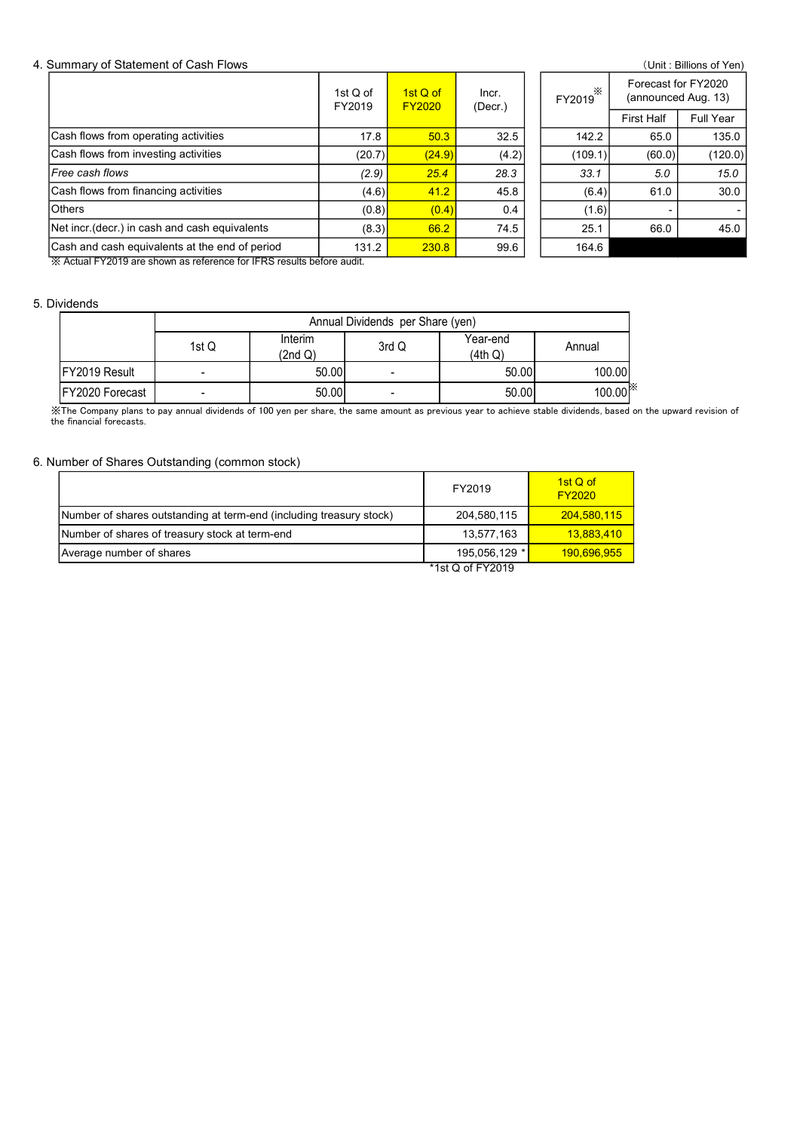#### 4. Summary of Statement of Cash Flows (Unit : Billions of Yen)

| Summary of Statement of Cash Flows             |                |                    |                                  |                           |                     |                      | Forecast for FY2020 | (Unit: Billions of Yen) |  |  |
|------------------------------------------------|----------------|--------------------|----------------------------------|---------------------------|---------------------|----------------------|---------------------|-------------------------|--|--|
|                                                |                |                    | 1st Q of<br>FY2019               | 1st Q of<br><b>FY2020</b> | Incr.<br>(Decr.)    | FY2019 <sup>**</sup> | (announced Aug. 13) |                         |  |  |
|                                                |                |                    |                                  |                           |                     |                      | <b>First Half</b>   | Full Year               |  |  |
| Cash flows from operating activities           |                |                    | 17.8                             | 50.3                      | 32.5                | 142.2                | 65.0                | 135.0                   |  |  |
| Cash flows from investing activities           |                |                    | (20.7)                           | (24.9)                    | (4.2)               | (109.1)              | (60.0)              | (120.0)                 |  |  |
| Free cash flows                                |                |                    | (2.9)                            | 25.4                      | 28.3                | 33.1                 | 5.0                 | 15.0                    |  |  |
| Cash flows from financing activities           |                |                    | (4.6)                            | 41.2                      | 45.8                | (6.4)                | 61.0                | 30.0                    |  |  |
| <b>Others</b>                                  |                |                    | (0.8)                            | (0.4)                     | 0.4                 | (1.6)                |                     |                         |  |  |
| Net incr. (decr.) in cash and cash equivalents |                |                    | (8.3)                            | 66.2                      | 74.5                | 25.1                 | 66.0<br>45.0        |                         |  |  |
| Cash and cash equivalents at the end of period |                |                    | 131.2                            | 230.8                     | 99.6                | 164.6                |                     |                         |  |  |
|                                                |                |                    |                                  |                           |                     |                      |                     |                         |  |  |
| <b>Dividends</b>                               |                |                    |                                  |                           |                     |                      |                     |                         |  |  |
|                                                | 1st $Q$        | Interim<br>(2nd Q) | Annual Dividends per Share (yen) | 3rd Q                     | Year-end<br>(4th Q) | Annual               |                     |                         |  |  |
| FY2019 Result                                  | $\blacksquare$ |                    | 50.00                            | $\blacksquare$            | 50.00               | 100.00               |                     |                         |  |  |
| FY2020 Forecast                                |                |                    | 50.00                            |                           | 50.00               |                      | 100.00              |                         |  |  |

#### 5. Dividends

|                         |                | Annual Dividends per Share (yen) |                          |                     |                        |  |  |  |  |  |
|-------------------------|----------------|----------------------------------|--------------------------|---------------------|------------------------|--|--|--|--|--|
|                         | 1st Q          | Interim<br>(2nd Q)               | 3rd Q                    | Year-end<br>(4th Q) | Annual                 |  |  |  |  |  |
| <b>IFY2019 Result</b>   | $\blacksquare$ | 50.00                            | ٠                        | 50.00               | 100.00                 |  |  |  |  |  |
| <b>IFY2020 Forecast</b> |                | 50.00                            | $\overline{\phantom{0}}$ | 50.00               | $100.00$ <sup>**</sup> |  |  |  |  |  |

#### 6. Number of Shares Outstanding (common stock)

| Free cash flows                                                                                                                                                                                              |       |         |       |                                  |                             |                           |      |      |
|--------------------------------------------------------------------------------------------------------------------------------------------------------------------------------------------------------------|-------|---------|-------|----------------------------------|-----------------------------|---------------------------|------|------|
|                                                                                                                                                                                                              |       |         | (2.9) | 25.4                             | 28.3                        | 33.1                      | 5.0  | 15.0 |
| Cash flows from financing activities                                                                                                                                                                         |       |         | (4.6) | 41.2                             | 45.8                        | (6.4)                     | 61.0 | 30.0 |
| <b>Others</b>                                                                                                                                                                                                |       |         | (0.8) | (0.4)                            | 0.4                         | (1.6)                     |      |      |
| Net incr (decr.) in cash and cash equivalents                                                                                                                                                                |       |         | (8.3) | 66.2                             | 74.5                        | 25.1                      | 66.0 | 45.0 |
| Cash and cash equivalents at the end of period                                                                                                                                                               |       |         | 131.2 | 230.8                            | 99.6                        | 164.6                     |      |      |
| X Actual FY2019 are shown as reference for IFRS results before audit.                                                                                                                                        |       |         |       |                                  |                             |                           |      |      |
|                                                                                                                                                                                                              |       |         |       |                                  |                             |                           |      |      |
| ividends                                                                                                                                                                                                     |       |         |       |                                  |                             |                           |      |      |
|                                                                                                                                                                                                              |       |         |       | Annual Dividends per Share (yen) |                             |                           |      |      |
|                                                                                                                                                                                                              |       | Interim |       | 3rd Q                            | Year-end                    | Annual                    |      |      |
|                                                                                                                                                                                                              |       |         |       |                                  | (4th Q)                     |                           |      |      |
|                                                                                                                                                                                                              | 1st Q | (2nd Q) |       |                                  |                             |                           |      |      |
| FY2019 Result                                                                                                                                                                                                |       | 50.00   |       | $\blacksquare$                   | 50.00                       | 100.00                    |      |      |
| FY2020 Forecast<br>XThe Company plans to pay annual dividends of 100 yen per share, the same amount as previous year to achieve stable dividends, based on the upward revision of<br>he financial forecasts. |       | 50.00   |       |                                  | 50.00                       | 100.00                    |      |      |
| lumber of Shares Outstanding (common stock)                                                                                                                                                                  |       |         |       |                                  | FY2019                      | 1st Q of<br><b>FY2020</b> |      |      |
| Number of shares outstanding at term-end (including treasury stock)                                                                                                                                          |       |         |       |                                  | 204,580,115                 | 204,580,115               |      |      |
| Number of shares of treasury stock at term-end<br>Average number of shares                                                                                                                                   |       |         |       |                                  | 13,577,163<br>195,056,129 * | 13,883,410<br>190,696,955 |      |      |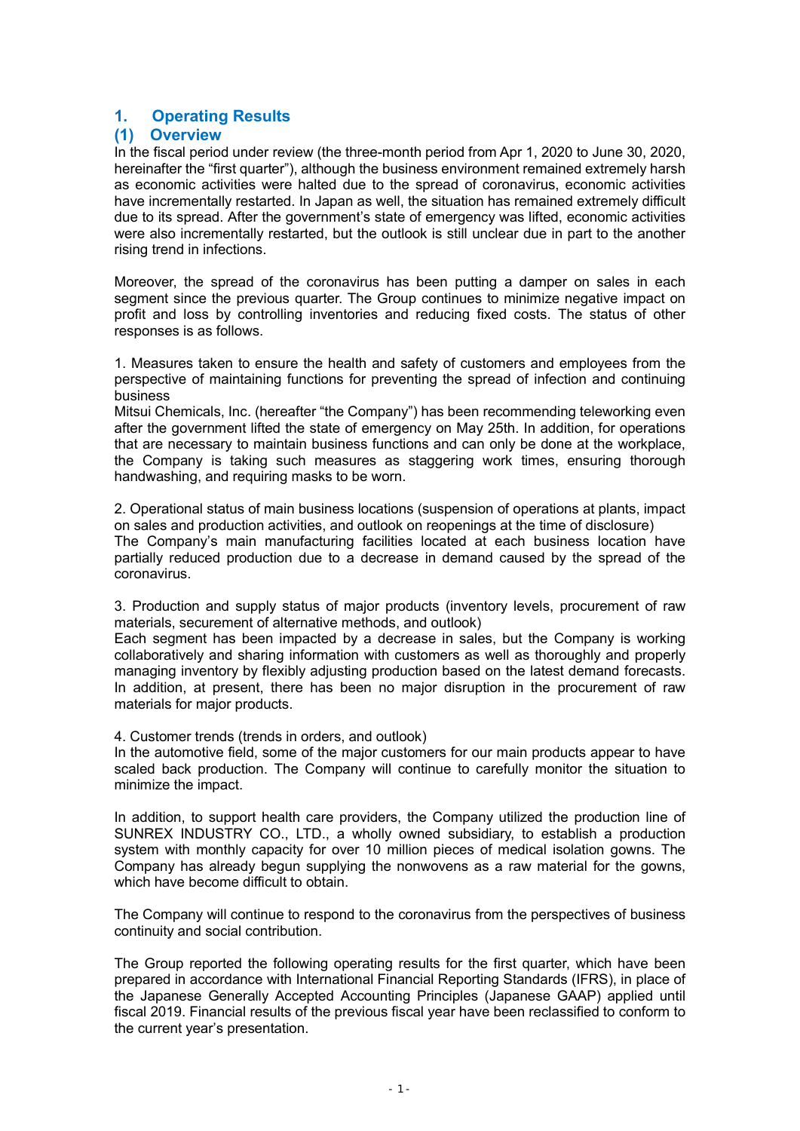## 1. Operating Results

### (1) Overview

In the fiscal period under review (the three-month period from Apr 1, 2020 to June 30, 2020, hereinafter the "first quarter"), although the business environment remained extremely harsh as economic activities were halted due to the spread of coronavirus, economic activities have incrementally restarted. In Japan as well, the situation has remained extremely difficult due to its spread. After the government's state of emergency was lifted, economic activities were also incrementally restarted, but the outlook is still unclear due in part to the another rising trend in infections.

Moreover, the spread of the coronavirus has been putting a damper on sales in each segment since the previous quarter. The Group continues to minimize negative impact on profit and loss by controlling inventories and reducing fixed costs. The status of other responses is as follows.

1. Measures taken to ensure the health and safety of customers and employees from the perspective of maintaining functions for preventing the spread of infection and continuing business

Mitsui Chemicals, Inc. (hereafter "the Company") has been recommending teleworking even after the government lifted the state of emergency on May 25th. In addition, for operations that are necessary to maintain business functions and can only be done at the workplace, the Company is taking such measures as staggering work times, ensuring thorough handwashing, and requiring masks to be worn.

2. Operational status of main business locations (suspension of operations at plants, impact on sales and production activities, and outlook on reopenings at the time of disclosure) The Company's main manufacturing facilities located at each business location have partially reduced production due to a decrease in demand caused by the spread of the coronavirus.

3. Production and supply status of major products (inventory levels, procurement of raw materials, securement of alternative methods, and outlook)

Each segment has been impacted by a decrease in sales, but the Company is working collaboratively and sharing information with customers as well as thoroughly and properly managing inventory by flexibly adjusting production based on the latest demand forecasts. In addition, at present, there has been no major disruption in the procurement of raw materials for major products.

4. Customer trends (trends in orders, and outlook)

In the automotive field, some of the major customers for our main products appear to have scaled back production. The Company will continue to carefully monitor the situation to minimize the impact.

In addition, to support health care providers, the Company utilized the production line of SUNREX INDUSTRY CO., LTD., a wholly owned subsidiary, to establish a production system with monthly capacity for over 10 million pieces of medical isolation gowns. The Company has already begun supplying the nonwovens as a raw material for the gowns, which have become difficult to obtain.

The Company will continue to respond to the coronavirus from the perspectives of business continuity and social contribution.

The Group reported the following operating results for the first quarter, which have been prepared in accordance with International Financial Reporting Standards (IFRS), in place of the Japanese Generally Accepted Accounting Principles (Japanese GAAP) applied until fiscal 2019. Financial results of the previous fiscal year have been reclassified to conform to the current year's presentation.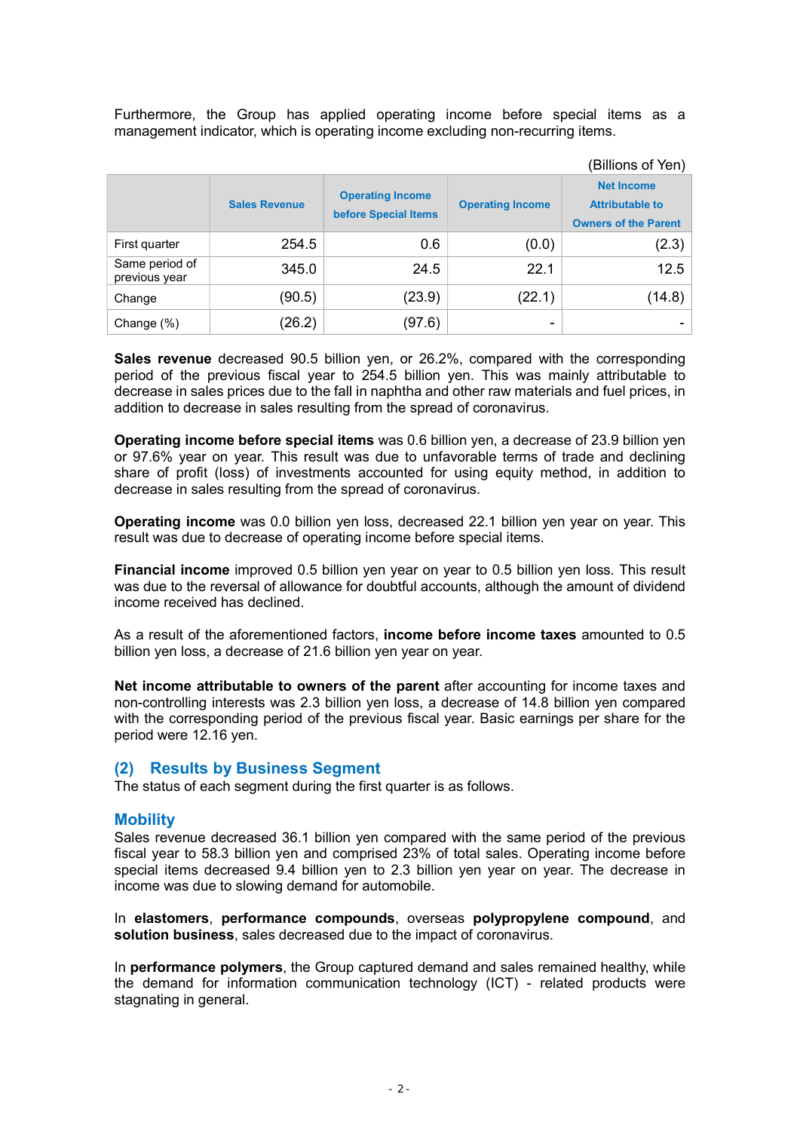Furthermore, the Group has applied operating income before special items as a management indicator, which is operating income excluding non-recurring items.

|                                 |                      |                                                        |                          | (Billions of Yen)                                                          |
|---------------------------------|----------------------|--------------------------------------------------------|--------------------------|----------------------------------------------------------------------------|
|                                 | <b>Sales Revenue</b> | <b>Operating Income</b><br><b>before Special Items</b> | <b>Operating Income</b>  | <b>Net Income</b><br><b>Attributable to</b><br><b>Owners of the Parent</b> |
| First quarter                   | 254.5                | 0.6                                                    | (0.0)                    | (2.3)                                                                      |
| Same period of<br>previous year | 345.0                | 24.5                                                   | 22.1                     | 12.5                                                                       |
| Change                          | (90.5)               | (23.9)                                                 | (22.1)                   | (14.8)                                                                     |
| Change (%)                      | (26.2)               | (97.6)                                                 | $\overline{\phantom{0}}$ |                                                                            |

Sales revenue decreased 90.5 billion yen, or 26.2%, compared with the corresponding period of the previous fiscal year to 254.5 billion yen. This was mainly attributable to decrease in sales prices due to the fall in naphtha and other raw materials and fuel prices, in addition to decrease in sales resulting from the spread of coronavirus.

Operating income before special items was 0.6 billion yen, a decrease of 23.9 billion yen or 97.6% year on year. This result was due to unfavorable terms of trade and declining share of profit (loss) of investments accounted for using equity method, in addition to decrease in sales resulting from the spread of coronavirus.

Operating income was 0.0 billion yen loss, decreased 22.1 billion yen year on year. This result was due to decrease of operating income before special items.

Financial income improved 0.5 billion yen year on year to 0.5 billion yen loss. This result was due to the reversal of allowance for doubtful accounts, although the amount of dividend income received has declined.

As a result of the aforementioned factors, **income before income taxes** amounted to 0.5 billion yen loss, a decrease of 21.6 billion yen year on year.

Net income attributable to owners of the parent after accounting for income taxes and non-controlling interests was 2.3 billion yen loss, a decrease of 14.8 billion yen compared with the corresponding period of the previous fiscal year. Basic earnings per share for the period were 12.16 yen.

### (2) Results by Business Segment

The status of each segment during the first quarter is as follows.

#### **Mobility**

Sales revenue decreased 36.1 billion yen compared with the same period of the previous fiscal year to 58.3 billion yen and comprised 23% of total sales. Operating income before special items decreased 9.4 billion yen to 2.3 billion yen year on year. The decrease in income was due to slowing demand for automobile.

In elastomers, performance compounds, overseas polypropylene compound, and solution business, sales decreased due to the impact of coronavirus.

In **performance polymers**, the Group captured demand and sales remained healthy, while the demand for information communication technology (ICT) - related products were stagnating in general.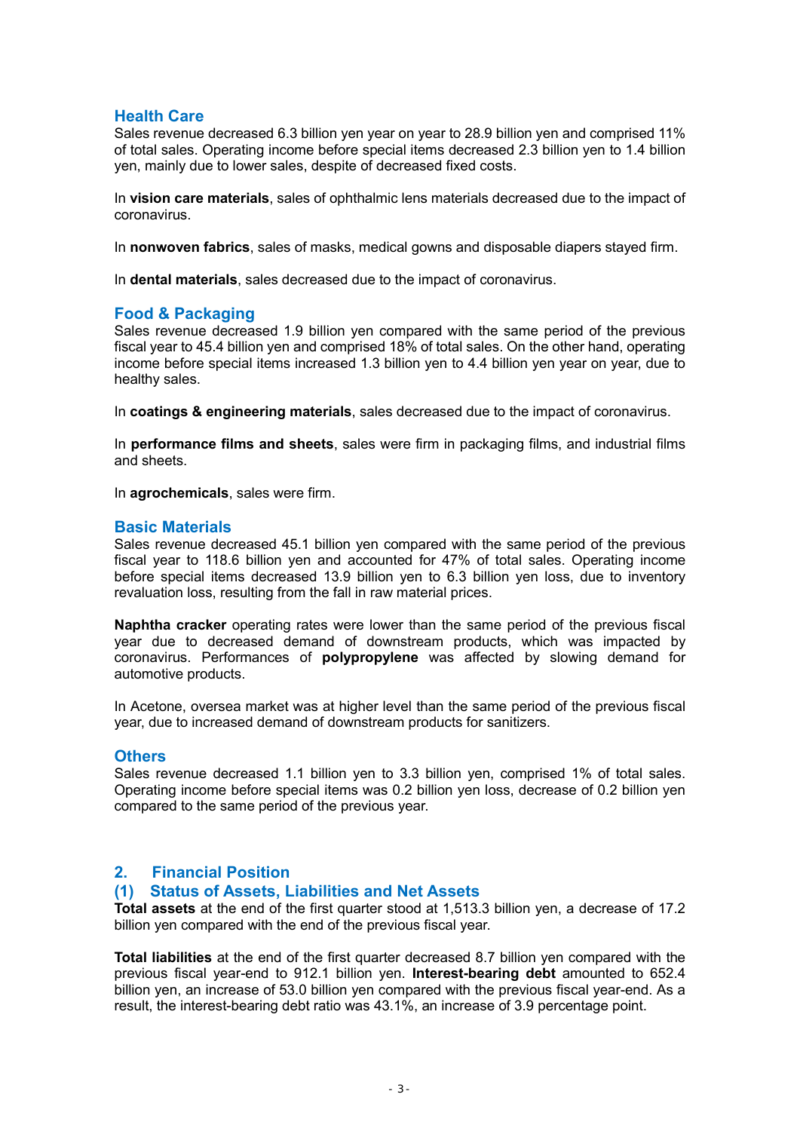### Health Care

Sales revenue decreased 6.3 billion yen year on year to 28.9 billion yen and comprised 11% of total sales. Operating income before special items decreased 2.3 billion yen to 1.4 billion yen, mainly due to lower sales, despite of decreased fixed costs.

In vision care materials, sales of ophthalmic lens materials decreased due to the impact of coronavirus.

In nonwoven fabrics, sales of masks, medical gowns and disposable diapers stayed firm.

In dental materials, sales decreased due to the impact of coronavirus.

### Food & Packaging

Sales revenue decreased 1.9 billion yen compared with the same period of the previous fiscal year to 45.4 billion yen and comprised 18% of total sales. On the other hand, operating income before special items increased 1.3 billion yen to 4.4 billion yen year on year, due to healthy sales.

In coatings & engineering materials, sales decreased due to the impact of coronavirus.

In **performance films and sheets**, sales were firm in packaging films, and industrial films and sheets.

In agrochemicals, sales were firm.

### Basic Materials

Sales revenue decreased 45.1 billion yen compared with the same period of the previous fiscal year to 118.6 billion yen and accounted for 47% of total sales. Operating income before special items decreased 13.9 billion yen to 6.3 billion yen loss, due to inventory revaluation loss, resulting from the fall in raw material prices.

Naphtha cracker operating rates were lower than the same period of the previous fiscal year due to decreased demand of downstream products, which was impacted by coronavirus. Performances of polypropylene was affected by slowing demand for automotive products.

In Acetone, oversea market was at higher level than the same period of the previous fiscal year, due to increased demand of downstream products for sanitizers.

#### **Others**

Sales revenue decreased 1.1 billion yen to 3.3 billion yen, comprised 1% of total sales. Operating income before special items was 0.2 billion yen loss, decrease of 0.2 billion yen compared to the same period of the previous year.

### 2. Financial Position

### (1) Status of Assets, Liabilities and Net Assets

Total assets at the end of the first quarter stood at 1,513.3 billion yen, a decrease of 17.2 billion yen compared with the end of the previous fiscal year.

Total liabilities at the end of the first quarter decreased 8.7 billion yen compared with the previous fiscal year-end to 912.1 billion yen. Interest-bearing debt amounted to 652.4 billion yen, an increase of 53.0 billion yen compared with the previous fiscal year-end. As a result, the interest-bearing debt ratio was 43.1%, an increase of 3.9 percentage point.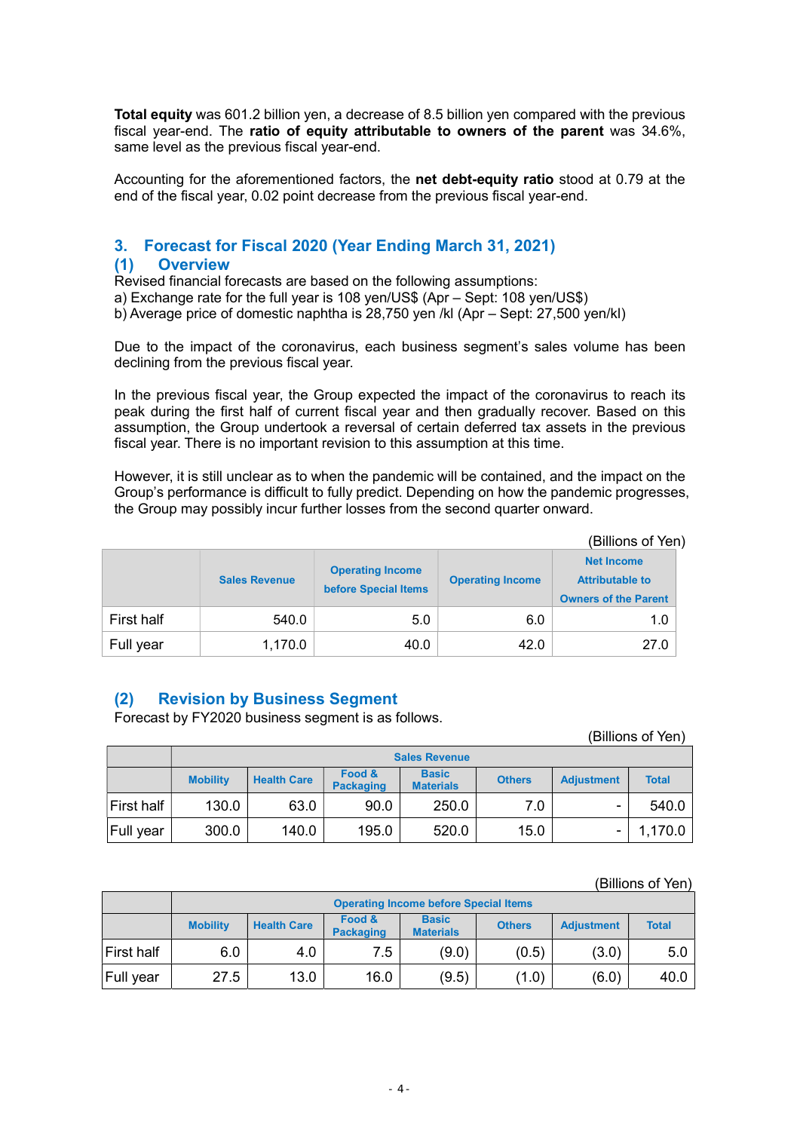Total equity was 601.2 billion yen, a decrease of 8.5 billion yen compared with the previous fiscal year-end. The ratio of equity attributable to owners of the parent was 34.6%, same level as the previous fiscal year-end.

Accounting for the aforementioned factors, the net debt-equity ratio stood at 0.79 at the end of the fiscal year, 0.02 point decrease from the previous fiscal year-end.

# 3. Forecast for Fiscal 2020 (Year Ending March 31, 2021)

### (1) Overview

Revised financial forecasts are based on the following assumptions:

a) Exchange rate for the full year is 108 yen/US\$ (Apr – Sept: 108 yen/US\$)

b) Average price of domestic naphtha is 28,750 yen /kl (Apr – Sept: 27,500 yen/kl)

Due to the impact of the coronavirus, each business segment's sales volume has been declining from the previous fiscal year.

In the previous fiscal year, the Group expected the impact of the coronavirus to reach its peak during the first half of current fiscal year and then gradually recover. Based on this assumption, the Group undertook a reversal of certain deferred tax assets in the previous fiscal year. There is no important revision to this assumption at this time.

However, it is still unclear as to when the pandemic will be contained, and the impact on the Group's performance is difficult to fully predict. Depending on how the pandemic progresses, the Group may possibly incur further losses from the second quarter onward.

|            | (Billions of Yen)    |                                                        |                         |                                                                            |  |  |  |  |  |  |  |  |
|------------|----------------------|--------------------------------------------------------|-------------------------|----------------------------------------------------------------------------|--|--|--|--|--|--|--|--|
|            | <b>Sales Revenue</b> | <b>Operating Income</b><br><b>before Special Items</b> | <b>Operating Income</b> | <b>Net Income</b><br><b>Attributable to</b><br><b>Owners of the Parent</b> |  |  |  |  |  |  |  |  |
| First half | 540.0                | 5.0                                                    | 6.0                     | 1.0                                                                        |  |  |  |  |  |  |  |  |
| Full year  | 1,170.0              | 40.0                                                   | 42.0                    | 27.0                                                                       |  |  |  |  |  |  |  |  |

## (2) Revision by Business Segment

Forecast by FY2020 business segment is as follows.

|                  | (Billions of Yen)    |                    |                            |                                  |               |                          |              |  |  |  |  |  |
|------------------|----------------------|--------------------|----------------------------|----------------------------------|---------------|--------------------------|--------------|--|--|--|--|--|
|                  | <b>Sales Revenue</b> |                    |                            |                                  |               |                          |              |  |  |  |  |  |
|                  | <b>Mobility</b>      | <b>Health Care</b> | Food &<br><b>Packaging</b> | <b>Basic</b><br><b>Materials</b> | <b>Others</b> | <b>Adjustment</b>        | <b>Total</b> |  |  |  |  |  |
| First half       | 130.0                | 63.0               | 90.0                       | 250.0                            | 7.0           | $\overline{\phantom{0}}$ | 540.0        |  |  |  |  |  |
| <b>Full year</b> | 300.0                | 140.0              | 195.0                      | 520.0                            | 15.0          |                          | 1,170.0      |  |  |  |  |  |

#### (Billions of Yen)

|                  | <b>Operating Income before Special Items</b> |                    |                            |                                  |               |                   |              |
|------------------|----------------------------------------------|--------------------|----------------------------|----------------------------------|---------------|-------------------|--------------|
|                  | <b>Mobility</b>                              | <b>Health Care</b> | Food &<br><b>Packaging</b> | <b>Basic</b><br><b>Materials</b> | <b>Others</b> | <b>Adiustment</b> | <b>Total</b> |
| First half       | 6.0                                          | 4.0                | 7.5                        | (9.0)                            | (0.5)         | (3.0)             | 5.0          |
| <b>Full year</b> | 27.5                                         | 13.0               | 16.0                       | (9.5)                            | (1.0)         | (6.0)             | 40.0         |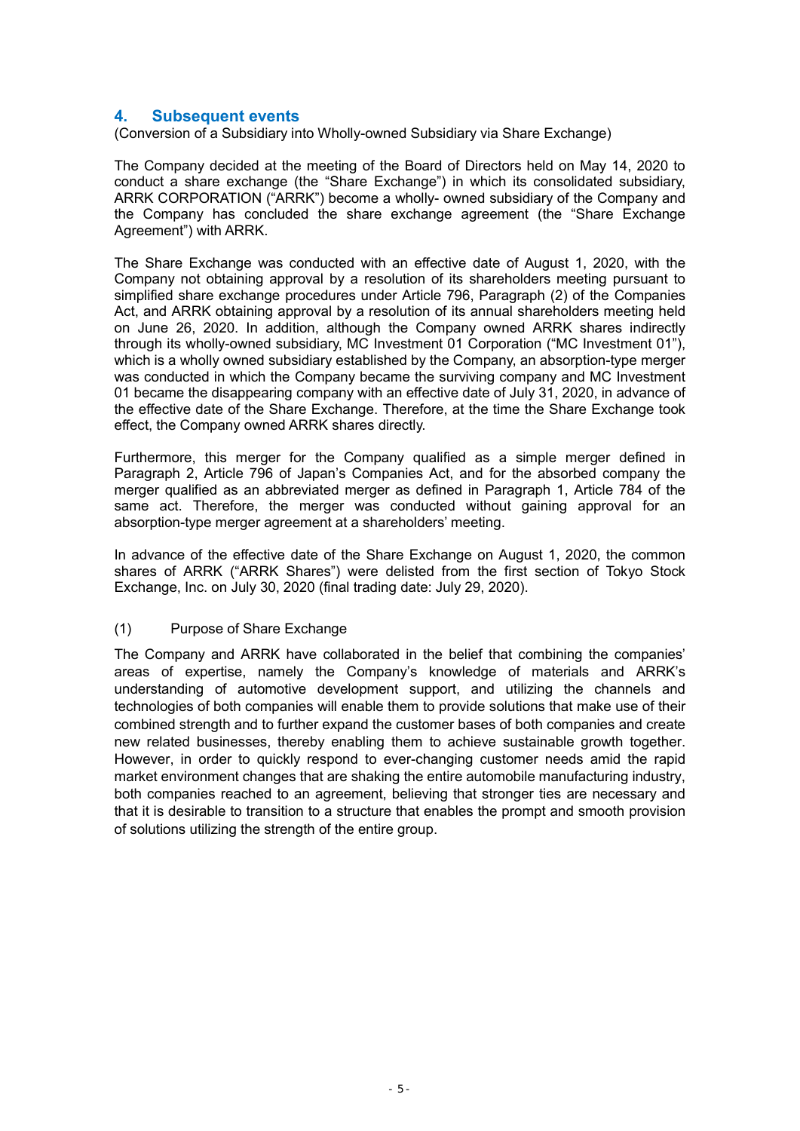### 4. Subsequent events

(Conversion of a Subsidiary into Wholly-owned Subsidiary via Share Exchange)

The Company decided at the meeting of the Board of Directors held on May 14, 2020 to conduct a share exchange (the "Share Exchange") in which its consolidated subsidiary, ARRK CORPORATION ("ARRK") become a wholly- owned subsidiary of the Company and the Company has concluded the share exchange agreement (the "Share Exchange Agreement") with ARRK.

The Share Exchange was conducted with an effective date of August 1, 2020, with the Company not obtaining approval by a resolution of its shareholders meeting pursuant to simplified share exchange procedures under Article 796, Paragraph (2) of the Companies Act, and ARRK obtaining approval by a resolution of its annual shareholders meeting held on June 26, 2020. In addition, although the Company owned ARRK shares indirectly through its wholly-owned subsidiary, MC Investment 01 Corporation ("MC Investment 01"), which is a wholly owned subsidiary established by the Company, an absorption-type merger was conducted in which the Company became the surviving company and MC Investment 01 became the disappearing company with an effective date of July 31, 2020, in advance of the effective date of the Share Exchange. Therefore, at the time the Share Exchange took effect, the Company owned ARRK shares directly.

Furthermore, this merger for the Company qualified as a simple merger defined in Paragraph 2, Article 796 of Japan's Companies Act, and for the absorbed company the merger qualified as an abbreviated merger as defined in Paragraph 1, Article 784 of the same act. Therefore, the merger was conducted without gaining approval for an absorption-type merger agreement at a shareholders' meeting.

In advance of the effective date of the Share Exchange on August 1, 2020, the common shares of ARRK ("ARRK Shares") were delisted from the first section of Tokyo Stock Exchange, Inc. on July 30, 2020 (final trading date: July 29, 2020).

#### (1) Purpose of Share Exchange

The Company and ARRK have collaborated in the belief that combining the companies' areas of expertise, namely the Company's knowledge of materials and ARRK's understanding of automotive development support, and utilizing the channels and technologies of both companies will enable them to provide solutions that make use of their combined strength and to further expand the customer bases of both companies and create new related businesses, thereby enabling them to achieve sustainable growth together. However, in order to quickly respond to ever-changing customer needs amid the rapid market environment changes that are shaking the entire automobile manufacturing industry, both companies reached to an agreement, believing that stronger ties are necessary and that it is desirable to transition to a structure that enables the prompt and smooth provision of solutions utilizing the strength of the entire group.